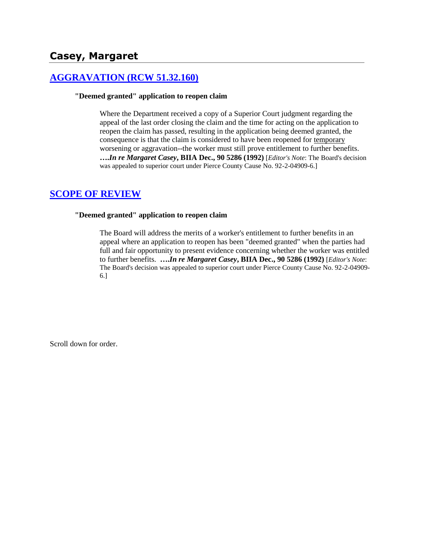# **[AGGRAVATION \(RCW 51.32.160\)](http://www.biia.wa.gov/SDSubjectIndex.html#AGGRAVATION)**

#### **"Deemed granted" application to reopen claim**

Where the Department received a copy of a Superior Court judgment regarding the appeal of the last order closing the claim and the time for acting on the application to reopen the claim has passed, resulting in the application being deemed granted, the consequence is that the claim is considered to have been reopened for temporary worsening or aggravation--the worker must still prove entitlement to further benefits. **….***In re Margaret Casey***, BIIA Dec., 90 5286 (1992)** [*Editor's Note*: The Board's decision was appealed to superior court under Pierce County Cause No. 92-2-04909-6.]

## **[SCOPE OF REVIEW](http://www.biia.wa.gov/SDSubjectIndex.html#SCOPE_OF_REVIEW)**

#### **"Deemed granted" application to reopen claim**

The Board will address the merits of a worker's entitlement to further benefits in an appeal where an application to reopen has been "deemed granted" when the parties had full and fair opportunity to present evidence concerning whether the worker was entitled to further benefits. **….***In re Margaret Casey***, BIIA Dec., 90 5286 (1992)** [*Editor's Note*: The Board's decision was appealed to superior court under Pierce County Cause No. 92-2-04909- 6.]

Scroll down for order.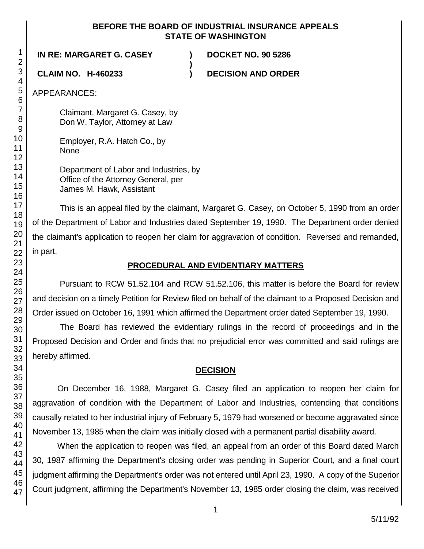#### **BEFORE THE BOARD OF INDUSTRIAL INSURANCE APPEALS STATE OF WASHINGTON**

**)**

**IN RE: MARGARET G. CASEY ) DOCKET NO. 90 5286**

**CLAIM NO. H-460233 ) DECISION AND ORDER**

APPEARANCES:

Claimant, Margaret G. Casey, by Don W. Taylor, Attorney at Law

Employer, R.A. Hatch Co., by None

Department of Labor and Industries, by Office of the Attorney General, per James M. Hawk, Assistant

This is an appeal filed by the claimant, Margaret G. Casey, on October 5, 1990 from an order of the Department of Labor and Industries dated September 19, 1990. The Department order denied the claimant's application to reopen her claim for aggravation of condition. Reversed and remanded, in part.

# **PROCEDURAL AND EVIDENTIARY MATTERS**

Pursuant to RCW 51.52.104 and RCW 51.52.106, this matter is before the Board for review and decision on a timely Petition for Review filed on behalf of the claimant to a Proposed Decision and Order issued on October 16, 1991 which affirmed the Department order dated September 19, 1990.

The Board has reviewed the evidentiary rulings in the record of proceedings and in the Proposed Decision and Order and finds that no prejudicial error was committed and said rulings are hereby affirmed.

# **DECISION**

On December 16, 1988, Margaret G. Casey filed an application to reopen her claim for aggravation of condition with the Department of Labor and Industries, contending that conditions causally related to her industrial injury of February 5, 1979 had worsened or become aggravated since November 13, 1985 when the claim was initially closed with a permanent partial disability award.

When the application to reopen was filed, an appeal from an order of this Board dated March 30, 1987 affirming the Department's closing order was pending in Superior Court, and a final court judgment affirming the Department's order was not entered until April 23, 1990. A copy of the Superior Court judgment, affirming the Department's November 13, 1985 order closing the claim, was received

1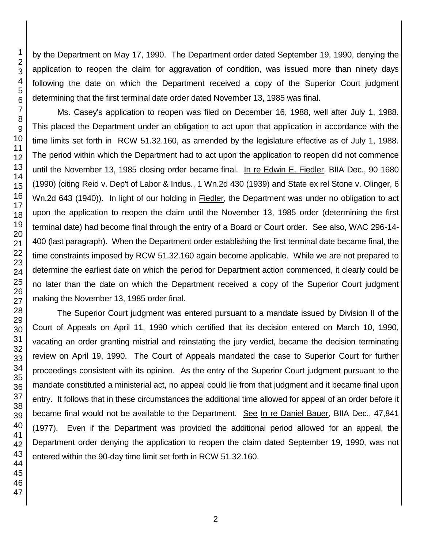by the Department on May 17, 1990. The Department order dated September 19, 1990, denying the application to reopen the claim for aggravation of condition, was issued more than ninety days following the date on which the Department received a copy of the Superior Court judgment determining that the first terminal date order dated November 13, 1985 was final.

Ms. Casey's application to reopen was filed on December 16, 1988, well after July 1, 1988. This placed the Department under an obligation to act upon that application in accordance with the time limits set forth in RCW 51.32.160, as amended by the legislature effective as of July 1, 1988. The period within which the Department had to act upon the application to reopen did not commence until the November 13, 1985 closing order became final. In re Edwin E. Fiedler, BIIA Dec., 90 1680 (1990) (citing Reid v. Dep't of Labor & Indus., 1 Wn.2d 430 (1939) and State ex rel Stone v. Olinger, 6 Wn.2d 643 (1940)). In light of our holding in Fiedler, the Department was under no obligation to act upon the application to reopen the claim until the November 13, 1985 order (determining the first terminal date) had become final through the entry of a Board or Court order. See also, WAC 296-14- 400 (last paragraph). When the Department order establishing the first terminal date became final, the time constraints imposed by RCW 51.32.160 again become applicable. While we are not prepared to determine the earliest date on which the period for Department action commenced, it clearly could be no later than the date on which the Department received a copy of the Superior Court judgment making the November 13, 1985 order final.

The Superior Court judgment was entered pursuant to a mandate issued by Division II of the Court of Appeals on April 11, 1990 which certified that its decision entered on March 10, 1990, vacating an order granting mistrial and reinstating the jury verdict, became the decision terminating review on April 19, 1990. The Court of Appeals mandated the case to Superior Court for further proceedings consistent with its opinion. As the entry of the Superior Court judgment pursuant to the mandate constituted a ministerial act, no appeal could lie from that judgment and it became final upon entry. It follows that in these circumstances the additional time allowed for appeal of an order before it became final would not be available to the Department. See In re Daniel Bauer, BIIA Dec., 47,841 (1977). Even if the Department was provided the additional period allowed for an appeal, the Department order denying the application to reopen the claim dated September 19, 1990, was not entered within the 90-day time limit set forth in RCW 51.32.160.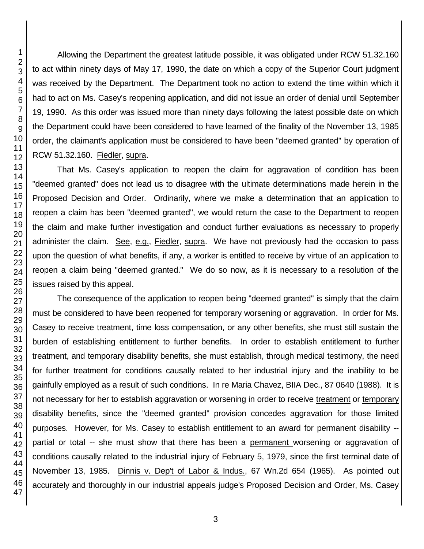Allowing the Department the greatest latitude possible, it was obligated under RCW 51.32.160 to act within ninety days of May 17, 1990, the date on which a copy of the Superior Court judgment was received by the Department. The Department took no action to extend the time within which it had to act on Ms. Casey's reopening application, and did not issue an order of denial until September 19, 1990. As this order was issued more than ninety days following the latest possible date on which the Department could have been considered to have learned of the finality of the November 13, 1985 order, the claimant's application must be considered to have been "deemed granted" by operation of RCW 51.32.160. Fiedler, supra.

That Ms. Casey's application to reopen the claim for aggravation of condition has been "deemed granted" does not lead us to disagree with the ultimate determinations made herein in the Proposed Decision and Order. Ordinarily, where we make a determination that an application to reopen a claim has been "deemed granted", we would return the case to the Department to reopen the claim and make further investigation and conduct further evaluations as necessary to properly administer the claim. See, e.g., Fiedler, supra. We have not previously had the occasion to pass upon the question of what benefits, if any, a worker is entitled to receive by virtue of an application to reopen a claim being "deemed granted." We do so now, as it is necessary to a resolution of the issues raised by this appeal.

The consequence of the application to reopen being "deemed granted" is simply that the claim must be considered to have been reopened for temporary worsening or aggravation. In order for Ms. Casey to receive treatment, time loss compensation, or any other benefits, she must still sustain the burden of establishing entitlement to further benefits. In order to establish entitlement to further treatment, and temporary disability benefits, she must establish, through medical testimony, the need for further treatment for conditions causally related to her industrial injury and the inability to be gainfully employed as a result of such conditions. In re Maria Chavez, BIIA Dec., 87 0640 (1988). It is not necessary for her to establish aggravation or worsening in order to receive treatment or temporary disability benefits, since the "deemed granted" provision concedes aggravation for those limited purposes. However, for Ms. Casey to establish entitlement to an award for permanent disability - partial or total -- she must show that there has been a permanent worsening or aggravation of conditions causally related to the industrial injury of February 5, 1979, since the first terminal date of November 13, 1985. Dinnis v. Dep't of Labor & Indus., 67 Wn.2d 654 (1965). As pointed out accurately and thoroughly in our industrial appeals judge's Proposed Decision and Order, Ms. Casey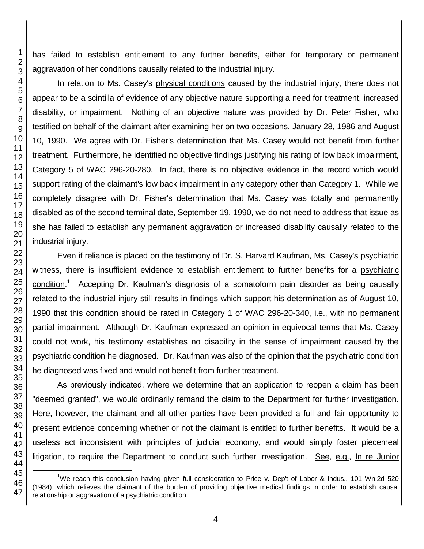has failed to establish entitlement to any further benefits, either for temporary or permanent aggravation of her conditions causally related to the industrial injury.

In relation to Ms. Casey's physical conditions caused by the industrial injury, there does not appear to be a scintilla of evidence of any objective nature supporting a need for treatment, increased disability, or impairment. Nothing of an objective nature was provided by Dr. Peter Fisher, who testified on behalf of the claimant after examining her on two occasions, January 28, 1986 and August 10, 1990. We agree with Dr. Fisher's determination that Ms. Casey would not benefit from further treatment. Furthermore, he identified no objective findings justifying his rating of low back impairment, Category 5 of WAC 296-20-280. In fact, there is no objective evidence in the record which would support rating of the claimant's low back impairment in any category other than Category 1. While we completely disagree with Dr. Fisher's determination that Ms. Casey was totally and permanently disabled as of the second terminal date, September 19, 1990, we do not need to address that issue as she has failed to establish any permanent aggravation or increased disability causally related to the industrial injury.

Even if reliance is placed on the testimony of Dr. S. Harvard Kaufman, Ms. Casey's psychiatric witness, there is insufficient evidence to establish entitlement to further benefits for a psychiatric condition.<sup>1</sup> Accepting Dr. Kaufman's diagnosis of a somatoform pain disorder as being causally related to the industrial injury still results in findings which support his determination as of August 10, 1990 that this condition should be rated in Category 1 of WAC 296-20-340, i.e., with no permanent partial impairment. Although Dr. Kaufman expressed an opinion in equivocal terms that Ms. Casey could not work, his testimony establishes no disability in the sense of impairment caused by the psychiatric condition he diagnosed. Dr. Kaufman was also of the opinion that the psychiatric condition he diagnosed was fixed and would not benefit from further treatment.

As previously indicated, where we determine that an application to reopen a claim has been "deemed granted", we would ordinarily remand the claim to the Department for further investigation. Here, however, the claimant and all other parties have been provided a full and fair opportunity to present evidence concerning whether or not the claimant is entitled to further benefits. It would be a useless act inconsistent with principles of judicial economy, and would simply foster piecemeal litigation, to require the Department to conduct such further investigation. See, e.g., In re Junior

l

We reach this conclusion having given full consideration to Price v. Dep't of Labor & Indus., 101 Wn.2d 520 (1984), which relieves the claimant of the burden of providing objective medical findings in order to establish causal relationship or aggravation of a psychiatric condition.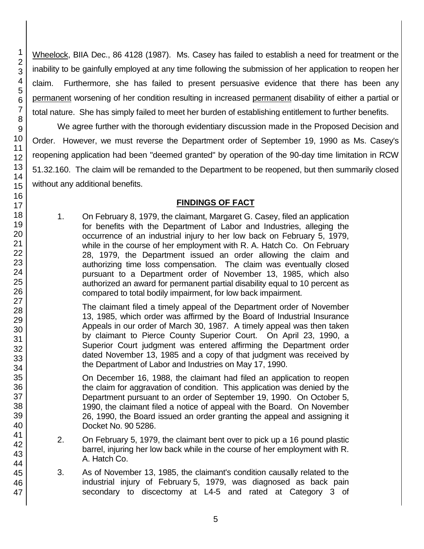Wheelock, BIIA Dec., 86 4128 (1987). Ms. Casey has failed to establish a need for treatment or the inability to be gainfully employed at any time following the submission of her application to reopen her claim. Furthermore, she has failed to present persuasive evidence that there has been any permanent worsening of her condition resulting in increased permanent disability of either a partial or total nature. She has simply failed to meet her burden of establishing entitlement to further benefits.

We agree further with the thorough evidentiary discussion made in the Proposed Decision and Order. However, we must reverse the Department order of September 19, 1990 as Ms. Casey's reopening application had been "deemed granted" by operation of the 90-day time limitation in RCW 51.32.160. The claim will be remanded to the Department to be reopened, but then summarily closed without any additional benefits.

# **FINDINGS OF FACT**

1. On February 8, 1979, the claimant, Margaret G. Casey, filed an application for benefits with the Department of Labor and Industries, alleging the occurrence of an industrial injury to her low back on February 5, 1979, while in the course of her employment with R. A. Hatch Co. On February 28, 1979, the Department issued an order allowing the claim and authorizing time loss compensation. The claim was eventually closed pursuant to a Department order of November 13, 1985, which also authorized an award for permanent partial disability equal to 10 percent as compared to total bodily impairment, for low back impairment.

The claimant filed a timely appeal of the Department order of November 13, 1985, which order was affirmed by the Board of Industrial Insurance Appeals in our order of March 30, 1987. A timely appeal was then taken by claimant to Pierce County Superior Court. On April 23, 1990, a Superior Court judgment was entered affirming the Department order dated November 13, 1985 and a copy of that judgment was received by the Department of Labor and Industries on May 17, 1990.

On December 16, 1988, the claimant had filed an application to reopen the claim for aggravation of condition. This application was denied by the Department pursuant to an order of September 19, 1990. On October 5, 1990, the claimant filed a notice of appeal with the Board. On November 26, 1990, the Board issued an order granting the appeal and assigning it Docket No. 90 5286.

- 2. On February 5, 1979, the claimant bent over to pick up a 16 pound plastic barrel, injuring her low back while in the course of her employment with R. A. Hatch Co.
- 3. As of November 13, 1985, the claimant's condition causally related to the industrial injury of February 5, 1979, was diagnosed as back pain secondary to discectomy at L4-5 and rated at Category 3 of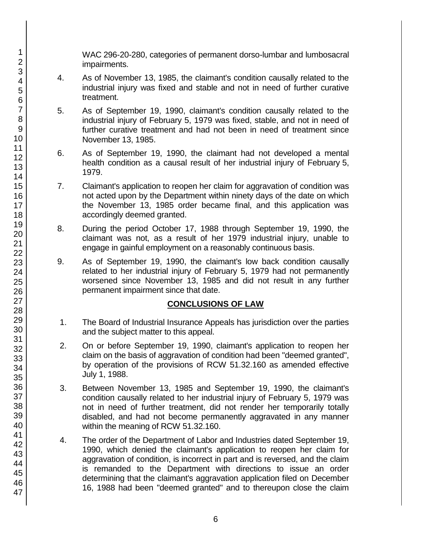WAC 296-20-280, categories of permanent dorso-lumbar and lumbosacral impairments.

- 4. As of November 13, 1985, the claimant's condition causally related to the industrial injury was fixed and stable and not in need of further curative treatment.
- 5. As of September 19, 1990, claimant's condition causally related to the industrial injury of February 5, 1979 was fixed, stable, and not in need of further curative treatment and had not been in need of treatment since November 13, 1985.
- 6. As of September 19, 1990, the claimant had not developed a mental health condition as a causal result of her industrial injury of February 5, 1979.
- 7. Claimant's application to reopen her claim for aggravation of condition was not acted upon by the Department within ninety days of the date on which the November 13, 1985 order became final, and this application was accordingly deemed granted.
- 8. During the period October 17, 1988 through September 19, 1990, the claimant was not, as a result of her 1979 industrial injury, unable to engage in gainful employment on a reasonably continuous basis.
- 9. As of September 19, 1990, the claimant's low back condition causally related to her industrial injury of February 5, 1979 had not permanently worsened since November 13, 1985 and did not result in any further permanent impairment since that date.

## **CONCLUSIONS OF LAW**

- 1. The Board of Industrial Insurance Appeals has jurisdiction over the parties and the subject matter to this appeal.
- 2. On or before September 19, 1990, claimant's application to reopen her claim on the basis of aggravation of condition had been "deemed granted", by operation of the provisions of RCW 51.32.160 as amended effective July 1, 1988.
- 3. Between November 13, 1985 and September 19, 1990, the claimant's condition causally related to her industrial injury of February 5, 1979 was not in need of further treatment, did not render her temporarily totally disabled, and had not become permanently aggravated in any manner within the meaning of RCW 51.32.160.
- 4. The order of the Department of Labor and Industries dated September 19, 1990, which denied the claimant's application to reopen her claim for aggravation of condition, is incorrect in part and is reversed, and the claim is remanded to the Department with directions to issue an order determining that the claimant's aggravation application filed on December 16, 1988 had been "deemed granted" and to thereupon close the claim